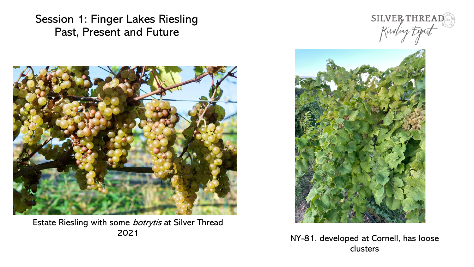

Estate Riesling with some botrytis at Silver Thread





<sup>2021</sup> NY-81, developed at Cornell, has loose clusters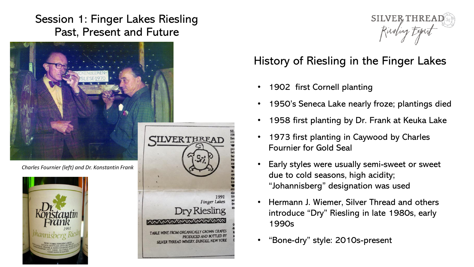

*Charles Fournier (left) and Dr. Konstantin Frank*







## History of Riesling in the Finger Lakes

- 1902 first Cornell planting
- 1950's Seneca Lake nearly froze; plantings died
- 1958 first planting by Dr. Frank at Keuka Lake
- 1973 first planting in Caywood by Charles Fournier for Gold Seal
- Early styles were usually semi-sweet or sweet due to cold seasons, high acidity; "Johannisberg" designation was used
- Hermann J. Wiemer, Silver Thread and others introduce "Dry" Riesling in late 1980s, early 1990s
- "Bone-dry" style: 2010s-present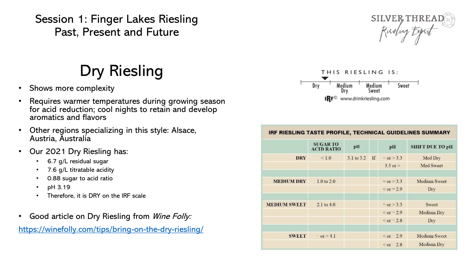# Dry Riesling

- Shows more complexity
- Requires warmer temperatures during growing season for acid reduction; cool nights to retain and develop aromatics and flavors
- Other regions specializing in this style: Alsace, Austria, Australia
- Our 2021 Dry Riesling has:
	- 6.7 g/L residual sugar
	- 7.6 g/L titratable acidity
	- 0.88 sugar to acid ratio
	- pH 3.19
	- Therefore, it is DRY on the IRF scale
- Good article on Dry Riesling from Wine Folly:

<https://winefolly.com/tips/bring-on-the-dry-riesling/>





| IRF RIESLING TASTE PROFILE, TECHNICAL GUIDELINES SUMMARY |                                      |            |    |                   |                        |
|----------------------------------------------------------|--------------------------------------|------------|----|-------------------|------------------------|
|                                                          | <b>SUGAR TO</b><br><b>ACID RATIO</b> | pH         |    | pH                | <b>SHIFT DUE TO pH</b> |
| <b>DRY</b>                                               | $\leq 1.0$                           | 3.1 to 3.2 | If | $=$ or $>$ 3.3    | Med Dry                |
|                                                          |                                      |            |    | $3.5$ or $>$      | Med Sweet              |
| <b>MEDIUM DRY</b>                                        | 1.0 to 2.0                           |            |    | $=$ or $>$ 3.3    | Medium Sweet           |
|                                                          |                                      |            |    | $<$ or = 2.9      | Dry                    |
| <b>MEDIUM SWEET</b>                                      | $2.1$ to $4.0$                       |            |    | $=$ or $>$ 3.3    | Sweet                  |
|                                                          |                                      |            |    | $\le$ or = 2.9    | Medium Dry             |
|                                                          |                                      |            |    | $\le$ or = 2.8    | Dry                    |
| <b>SWEET</b>                                             | $=$ or $\ge 4.1$                     |            |    | $\leq$ or $= 2.9$ | <b>Medium Sweet</b>    |
|                                                          |                                      |            |    | $\leq$ or 2.8     | Medium Dry             |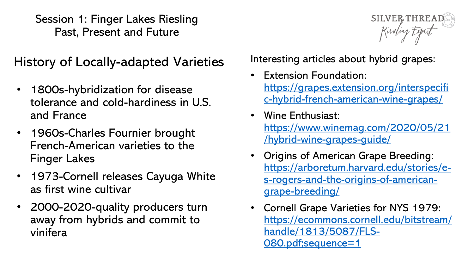History of Locally-adapted Varieties

- 1800s-hybridization for disease tolerance and cold-hardiness in U.S. and France
- 1960s-Charles Fournier brought French-American varieties to the Finger Lakes
- 1973-Cornell releases Cayuga White as first wine cultivar
- 2000-2020-quality producers turn away from hybrids and commit to vinifera

Interesting articles about hybrid grapes:

**Extension Foundation:** https://grapes.extension.org/interspecifi [c-hybrid-french-american-wine-grapes/](https://grapes.extension.org/interspecific-hybrid-french-american-wine-grapes/)

SILVER, THREAD

Rieding Expert

- Wine Enthusiast: [https://www.winemag.com/2020/05/21](https://www.winemag.com/2020/05/21/hybrid-wine-grapes-guide/) /hybrid-wine-grapes-guide/
- Origins of American Grape Breeding: https://arboretum.harvard.edu/stories/e[s-rogers-and-the-origins-of-american](https://arboretum.harvard.edu/stories/e-s-rogers-and-the-origins-of-american-grape-breeding/)grape-breeding/
- Cornell Grape Varieties for NYS 1979: [https://ecommons.cornell.edu/bitstream/](https://ecommons.cornell.edu/bitstream/handle/1813/5087/FLS-080.pdf;sequence=1) handle/1813/5087/FLS-080.pdf;sequence=1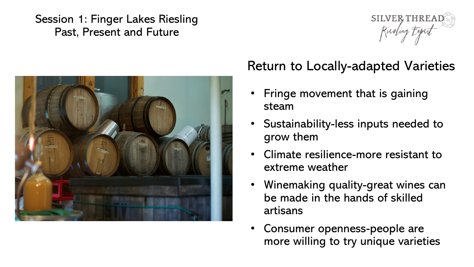



## Return to Locally-adapted Varieties

- Fringe movement that is gaining steam
- Sustainability-less inputs needed to grow them
- Climate resilience-more resistant to extreme weather
- Winemaking quality-great wines can be made in the hands of skilled artisans
- Consumer openness-people are more willing to try unique varieties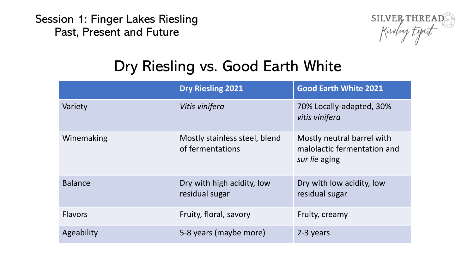

## Dry Riesling vs. Good Earth White

|                | <b>Dry Riesling 2021</b>                          | <b>Good Earth White 2021</b>                                               |
|----------------|---------------------------------------------------|----------------------------------------------------------------------------|
| Variety        | Vitis vinifera                                    | 70% Locally-adapted, 30%<br>vitis vinifera                                 |
| Winemaking     | Mostly stainless steel, blend<br>of fermentations | Mostly neutral barrel with<br>malolactic fermentation and<br>sur lie aging |
| <b>Balance</b> | Dry with high acidity, low<br>residual sugar      | Dry with low acidity, low<br>residual sugar                                |
| <b>Flavors</b> | Fruity, floral, savory                            | Fruity, creamy                                                             |
| Ageability     | 5-8 years (maybe more)                            | 2-3 years                                                                  |